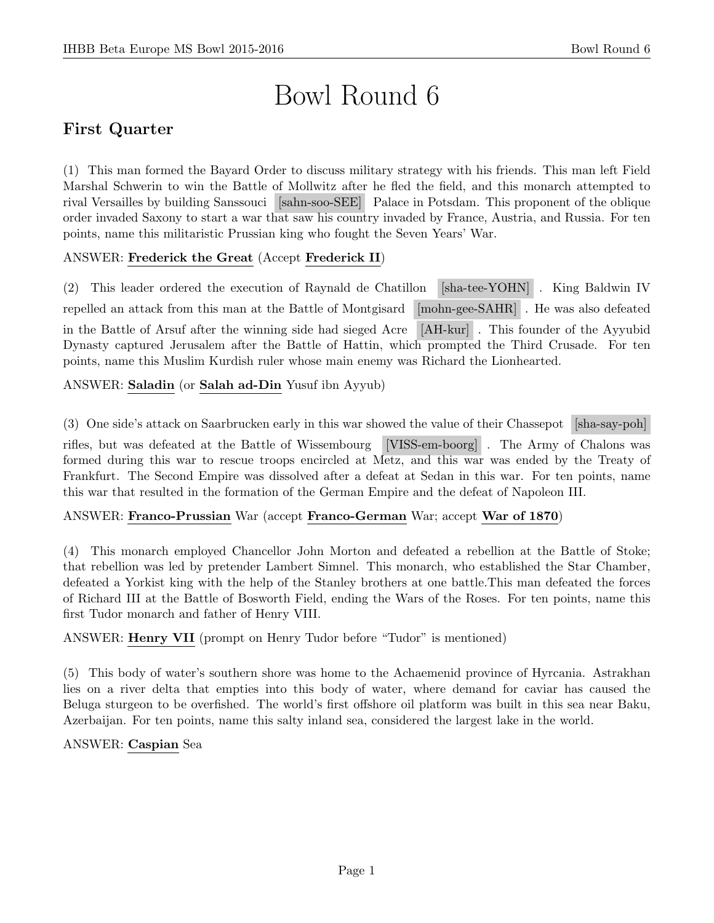# Bowl Round 6

# First Quarter

(1) This man formed the Bayard Order to discuss military strategy with his friends. This man left Field Marshal Schwerin to win the Battle of Mollwitz after he fled the field, and this monarch attempted to rival Versailles by building Sanssouci [sahn-soo-SEE] Palace in Potsdam. This proponent of the oblique order invaded Saxony to start a war that saw his country invaded by France, Austria, and Russia. For ten points, name this militaristic Prussian king who fought the Seven Years' War.

# ANSWER: Frederick the Great (Accept Frederick II)

(2) This leader ordered the execution of Raynald de Chatillon [sha-tee-YOHN] . King Baldwin IV repelled an attack from this man at the Battle of Montgisard [mohn-gee-SAHR] . He was also defeated in the Battle of Arsuf after the winning side had sieged Acre [AH-kur] . This founder of the Ayyubid Dynasty captured Jerusalem after the Battle of Hattin, which prompted the Third Crusade. For ten points, name this Muslim Kurdish ruler whose main enemy was Richard the Lionhearted.

# ANSWER: Saladin (or Salah ad-Din Yusuf ibn Ayyub)

(3) One side's attack on Saarbrucken early in this war showed the value of their Chassepot [sha-say-poh] rifles, but was defeated at the Battle of Wissembourg [VISS-em-boorg] . The Army of Chalons was formed during this war to rescue troops encircled at Metz, and this war was ended by the Treaty of Frankfurt. The Second Empire was dissolved after a defeat at Sedan in this war. For ten points, name this war that resulted in the formation of the German Empire and the defeat of Napoleon III.

# ANSWER: Franco-Prussian War (accept Franco-German War; accept War of 1870)

(4) This monarch employed Chancellor John Morton and defeated a rebellion at the Battle of Stoke; that rebellion was led by pretender Lambert Simnel. This monarch, who established the Star Chamber, defeated a Yorkist king with the help of the Stanley brothers at one battle.This man defeated the forces of Richard III at the Battle of Bosworth Field, ending the Wars of the Roses. For ten points, name this first Tudor monarch and father of Henry VIII.

ANSWER: Henry VII (prompt on Henry Tudor before "Tudor" is mentioned)

(5) This body of water's southern shore was home to the Achaemenid province of Hyrcania. Astrakhan lies on a river delta that empties into this body of water, where demand for caviar has caused the Beluga sturgeon to be overfished. The world's first offshore oil platform was built in this sea near Baku, Azerbaijan. For ten points, name this salty inland sea, considered the largest lake in the world.

## ANSWER: Caspian Sea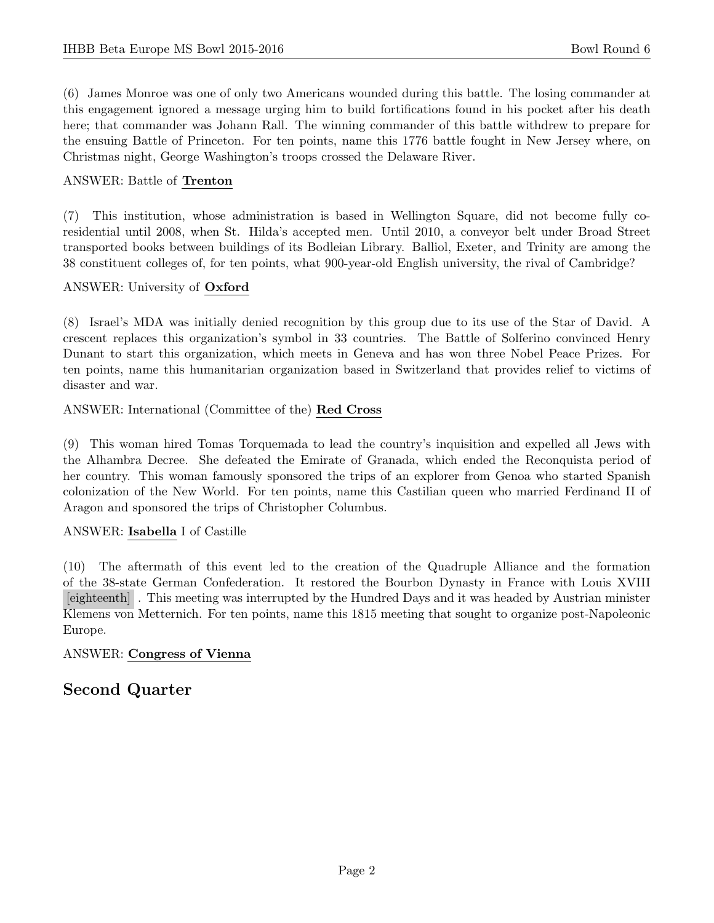(6) James Monroe was one of only two Americans wounded during this battle. The losing commander at this engagement ignored a message urging him to build fortifications found in his pocket after his death here; that commander was Johann Rall. The winning commander of this battle withdrew to prepare for the ensuing Battle of Princeton. For ten points, name this 1776 battle fought in New Jersey where, on Christmas night, George Washington's troops crossed the Delaware River.

## ANSWER: Battle of Trenton

(7) This institution, whose administration is based in Wellington Square, did not become fully coresidential until 2008, when St. Hilda's accepted men. Until 2010, a conveyor belt under Broad Street transported books between buildings of its Bodleian Library. Balliol, Exeter, and Trinity are among the 38 constituent colleges of, for ten points, what 900-year-old English university, the rival of Cambridge?

# ANSWER: University of Oxford

(8) Israel's MDA was initially denied recognition by this group due to its use of the Star of David. A crescent replaces this organization's symbol in 33 countries. The Battle of Solferino convinced Henry Dunant to start this organization, which meets in Geneva and has won three Nobel Peace Prizes. For ten points, name this humanitarian organization based in Switzerland that provides relief to victims of disaster and war.

ANSWER: International (Committee of the) Red Cross

(9) This woman hired Tomas Torquemada to lead the country's inquisition and expelled all Jews with the Alhambra Decree. She defeated the Emirate of Granada, which ended the Reconquista period of her country. This woman famously sponsored the trips of an explorer from Genoa who started Spanish colonization of the New World. For ten points, name this Castilian queen who married Ferdinand II of Aragon and sponsored the trips of Christopher Columbus.

## ANSWER: Isabella I of Castille

(10) The aftermath of this event led to the creation of the Quadruple Alliance and the formation of the 38-state German Confederation. It restored the Bourbon Dynasty in France with Louis XVIII [eighteenth] . This meeting was interrupted by the Hundred Days and it was headed by Austrian minister Klemens von Metternich. For ten points, name this 1815 meeting that sought to organize post-Napoleonic Europe.

## ANSWER: Congress of Vienna

# Second Quarter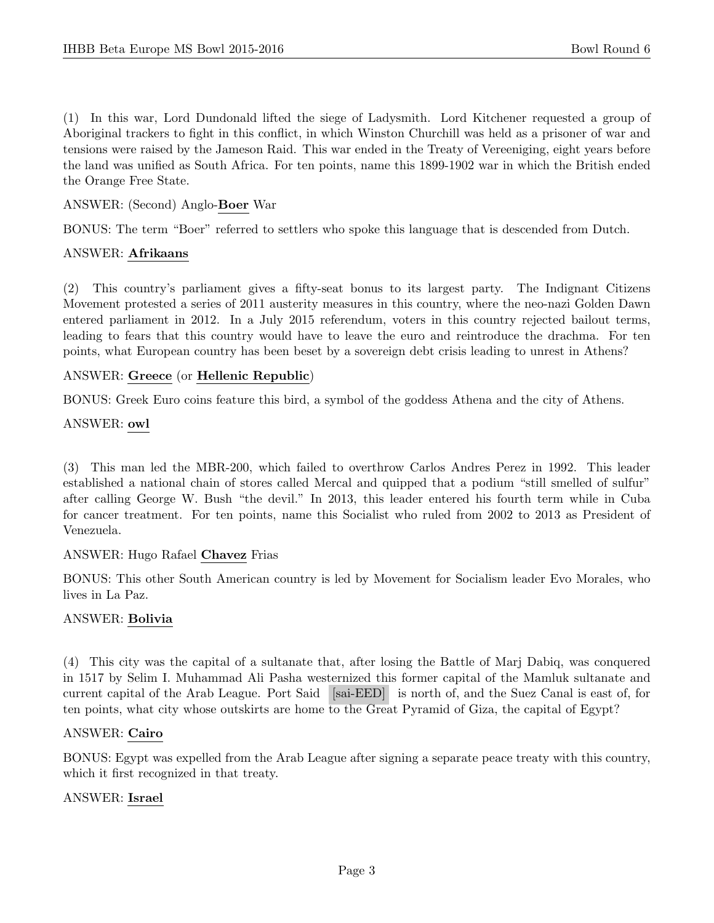(1) In this war, Lord Dundonald lifted the siege of Ladysmith. Lord Kitchener requested a group of Aboriginal trackers to fight in this conflict, in which Winston Churchill was held as a prisoner of war and tensions were raised by the Jameson Raid. This war ended in the Treaty of Vereeniging, eight years before the land was unified as South Africa. For ten points, name this 1899-1902 war in which the British ended the Orange Free State.

#### ANSWER: (Second) Anglo-Boer War

BONUS: The term "Boer" referred to settlers who spoke this language that is descended from Dutch.

#### ANSWER: Afrikaans

(2) This country's parliament gives a fifty-seat bonus to its largest party. The Indignant Citizens Movement protested a series of 2011 austerity measures in this country, where the neo-nazi Golden Dawn entered parliament in 2012. In a July 2015 referendum, voters in this country rejected bailout terms, leading to fears that this country would have to leave the euro and reintroduce the drachma. For ten points, what European country has been beset by a sovereign debt crisis leading to unrest in Athens?

#### ANSWER: Greece (or Hellenic Republic)

BONUS: Greek Euro coins feature this bird, a symbol of the goddess Athena and the city of Athens.

#### ANSWER: owl

(3) This man led the MBR-200, which failed to overthrow Carlos Andres Perez in 1992. This leader established a national chain of stores called Mercal and quipped that a podium "still smelled of sulfur" after calling George W. Bush "the devil." In 2013, this leader entered his fourth term while in Cuba for cancer treatment. For ten points, name this Socialist who ruled from 2002 to 2013 as President of Venezuela.

#### ANSWER: Hugo Rafael Chavez Frias

BONUS: This other South American country is led by Movement for Socialism leader Evo Morales, who lives in La Paz.

#### ANSWER: Bolivia

(4) This city was the capital of a sultanate that, after losing the Battle of Marj Dabiq, was conquered in 1517 by Selim I. Muhammad Ali Pasha westernized this former capital of the Mamluk sultanate and current capital of the Arab League. Port Said [sai-EED] is north of, and the Suez Canal is east of, for ten points, what city whose outskirts are home to the Great Pyramid of Giza, the capital of Egypt?

#### ANSWER: Cairo

BONUS: Egypt was expelled from the Arab League after signing a separate peace treaty with this country, which it first recognized in that treaty.

#### ANSWER: Israel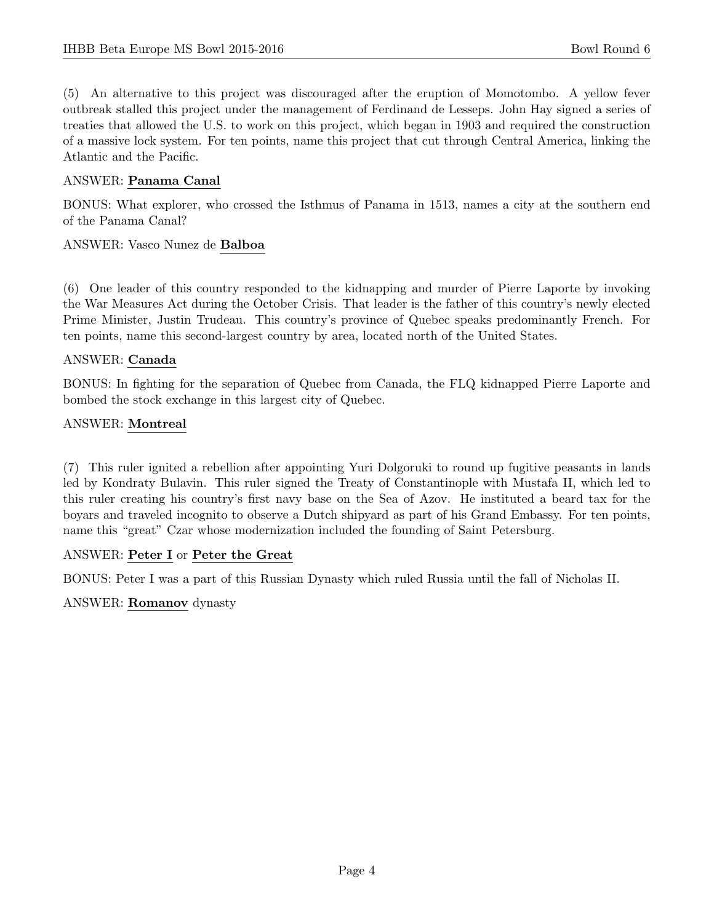(5) An alternative to this project was discouraged after the eruption of Momotombo. A yellow fever outbreak stalled this project under the management of Ferdinand de Lesseps. John Hay signed a series of treaties that allowed the U.S. to work on this project, which began in 1903 and required the construction of a massive lock system. For ten points, name this project that cut through Central America, linking the Atlantic and the Pacific.

#### ANSWER: Panama Canal

BONUS: What explorer, who crossed the Isthmus of Panama in 1513, names a city at the southern end of the Panama Canal?

#### ANSWER: Vasco Nunez de Balboa

(6) One leader of this country responded to the kidnapping and murder of Pierre Laporte by invoking the War Measures Act during the October Crisis. That leader is the father of this country's newly elected Prime Minister, Justin Trudeau. This country's province of Quebec speaks predominantly French. For ten points, name this second-largest country by area, located north of the United States.

#### ANSWER: Canada

BONUS: In fighting for the separation of Quebec from Canada, the FLQ kidnapped Pierre Laporte and bombed the stock exchange in this largest city of Quebec.

#### ANSWER: Montreal

(7) This ruler ignited a rebellion after appointing Yuri Dolgoruki to round up fugitive peasants in lands led by Kondraty Bulavin. This ruler signed the Treaty of Constantinople with Mustafa II, which led to this ruler creating his country's first navy base on the Sea of Azov. He instituted a beard tax for the boyars and traveled incognito to observe a Dutch shipyard as part of his Grand Embassy. For ten points, name this "great" Czar whose modernization included the founding of Saint Petersburg.

## ANSWER: Peter I or Peter the Great

BONUS: Peter I was a part of this Russian Dynasty which ruled Russia until the fall of Nicholas II.

#### ANSWER: Romanov dynasty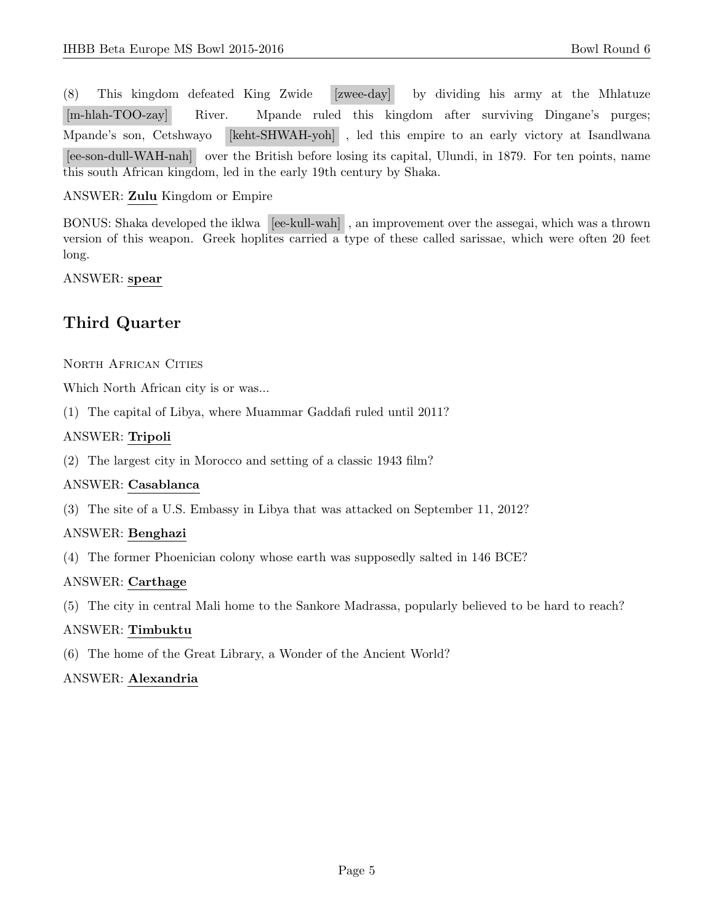(8) This kingdom defeated King Zwide [zwee-day] by dividing his army at the Mhlatuze [m-hlah-TOO-zay] River. Mpande ruled this kingdom after surviving Dingane's purges; Mpande's son, Cetshwayo [keht-SHWAH-yoh] , led this empire to an early victory at Isandlwana [ee-son-dull-WAH-nah] over the British before losing its capital, Ulundi, in 1879. For ten points, name this south African kingdom, led in the early 19th century by Shaka.

## ANSWER: Zulu Kingdom or Empire

BONUS: Shaka developed the iklwa [ee-kull-wah] , an improvement over the assegai, which was a thrown version of this weapon. Greek hoplites carried a type of these called sarissae, which were often 20 feet long.

ANSWER: spear

# Third Quarter

NORTH AFRICAN CITIES

Which North African city is or was...

(1) The capital of Libya, where Muammar Gaddafi ruled until 2011?

# ANSWER: Tripoli

(2) The largest city in Morocco and setting of a classic 1943 film?

## ANSWER: Casablanca

(3) The site of a U.S. Embassy in Libya that was attacked on September 11, 2012?

## ANSWER: Benghazi

(4) The former Phoenician colony whose earth was supposedly salted in 146 BCE?

## ANSWER: Carthage

(5) The city in central Mali home to the Sankore Madrassa, popularly believed to be hard to reach?

## ANSWER: Timbuktu

(6) The home of the Great Library, a Wonder of the Ancient World?

## ANSWER: Alexandria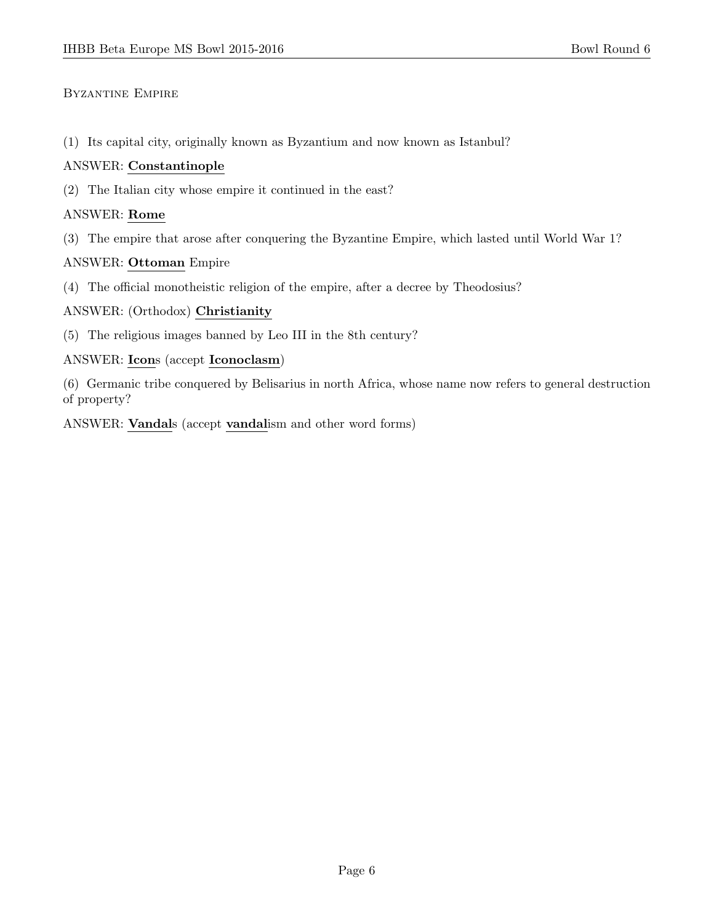# Byzantine Empire

(1) Its capital city, originally known as Byzantium and now known as Istanbul?

## ANSWER: Constantinople

(2) The Italian city whose empire it continued in the east?

## ANSWER: Rome

(3) The empire that arose after conquering the Byzantine Empire, which lasted until World War 1?

## ANSWER: Ottoman Empire

(4) The official monotheistic religion of the empire, after a decree by Theodosius?

## ANSWER: (Orthodox) Christianity

(5) The religious images banned by Leo III in the 8th century?

## ANSWER: Icons (accept Iconoclasm)

(6) Germanic tribe conquered by Belisarius in north Africa, whose name now refers to general destruction of property?

ANSWER: Vandals (accept vandalism and other word forms)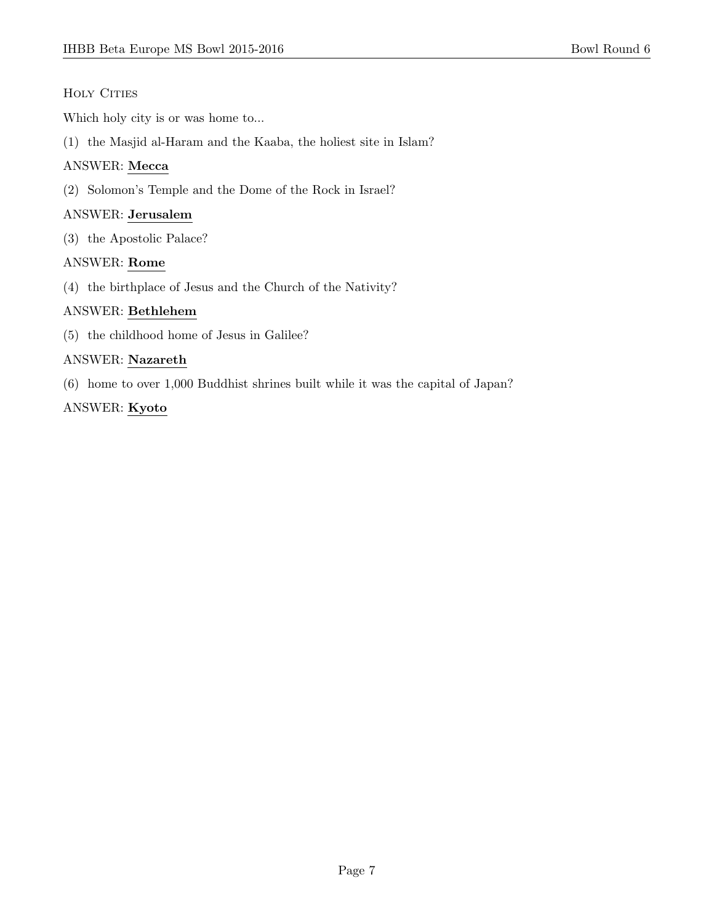# HOLY CITIES

Which holy city is or was home to...

(1) the Masjid al-Haram and the Kaaba, the holiest site in Islam?

# ANSWER: Mecca

(2) Solomon's Temple and the Dome of the Rock in Israel?

# ANSWER: Jerusalem

(3) the Apostolic Palace?

# ANSWER: Rome

(4) the birthplace of Jesus and the Church of the Nativity?

# ANSWER: Bethlehem

(5) the childhood home of Jesus in Galilee?

# ANSWER: Nazareth

(6) home to over 1,000 Buddhist shrines built while it was the capital of Japan?

# ANSWER: Kyoto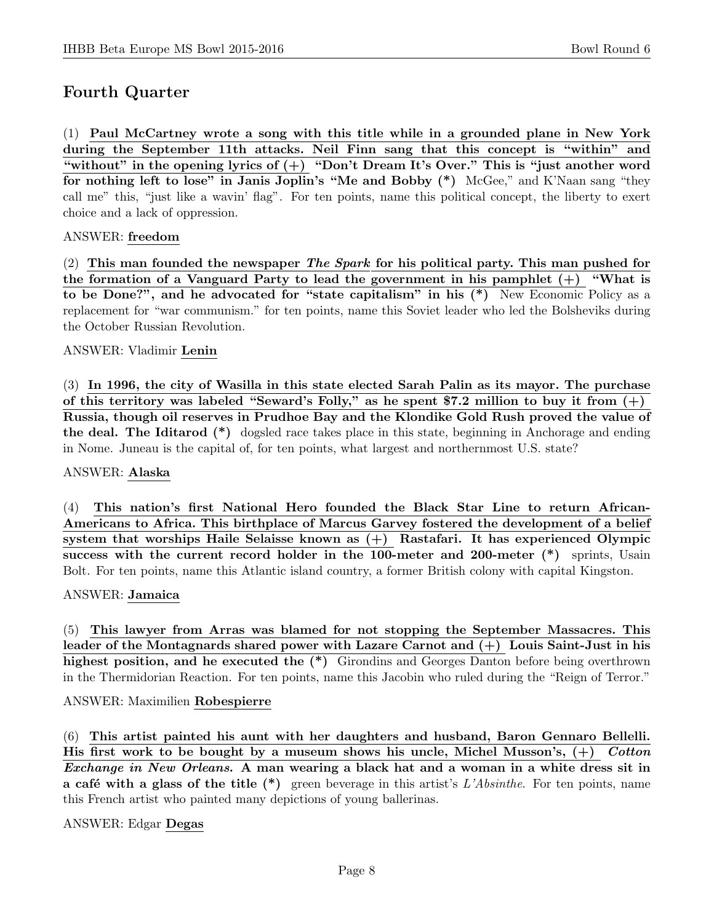# Fourth Quarter

(1) Paul McCartney wrote a song with this title while in a grounded plane in New York during the September 11th attacks. Neil Finn sang that this concept is "within" and "without" in the opening lyrics of  $(+)$  "Don't Dream It's Over." This is "just another word for nothing left to lose" in Janis Joplin's "Me and Bobby (\*) McGee," and K'Naan sang "they call me" this, "just like a wavin' flag". For ten points, name this political concept, the liberty to exert choice and a lack of oppression.

## ANSWER: freedom

(2) This man founded the newspaper The Spark for his political party. This man pushed for the formation of a Vanguard Party to lead the government in his pamphlet  $(+)$  "What is to be Done?", and he advocated for "state capitalism" in his (\*) New Economic Policy as a replacement for "war communism." for ten points, name this Soviet leader who led the Bolsheviks during the October Russian Revolution.

#### ANSWER: Vladimir Lenin

(3) In 1996, the city of Wasilla in this state elected Sarah Palin as its mayor. The purchase of this territory was labeled "Seward's Folly," as he spent \$7.2 million to buy it from  $(+)$ Russia, though oil reserves in Prudhoe Bay and the Klondike Gold Rush proved the value of the deal. The Iditarod (\*) dogsled race takes place in this state, beginning in Anchorage and ending in Nome. Juneau is the capital of, for ten points, what largest and northernmost U.S. state?

#### ANSWER: Alaska

(4) This nation's first National Hero founded the Black Star Line to return African-Americans to Africa. This birthplace of Marcus Garvey fostered the development of a belief system that worships Haile Selaisse known as (+) Rastafari. It has experienced Olympic success with the current record holder in the 100-meter and 200-meter (\*) sprints, Usain Bolt. For ten points, name this Atlantic island country, a former British colony with capital Kingston.

#### ANSWER: Jamaica

(5) This lawyer from Arras was blamed for not stopping the September Massacres. This leader of the Montagnards shared power with Lazare Carnot and (+) Louis Saint-Just in his highest position, and he executed the  $(*)$  Girondins and Georges Danton before being overthrown in the Thermidorian Reaction. For ten points, name this Jacobin who ruled during the "Reign of Terror."

#### ANSWER: Maximilien Robespierre

(6) This artist painted his aunt with her daughters and husband, Baron Gennaro Bellelli. His first work to be bought by a museum shows his uncle, Michel Musson's,  $(+)$  Cotton Exchange in New Orleans. A man wearing a black hat and a woman in a white dress sit in a café with a glass of the title  $(*)$  green beverage in this artist's L'Absinthe. For ten points, name this French artist who painted many depictions of young ballerinas.

## ANSWER: Edgar Degas